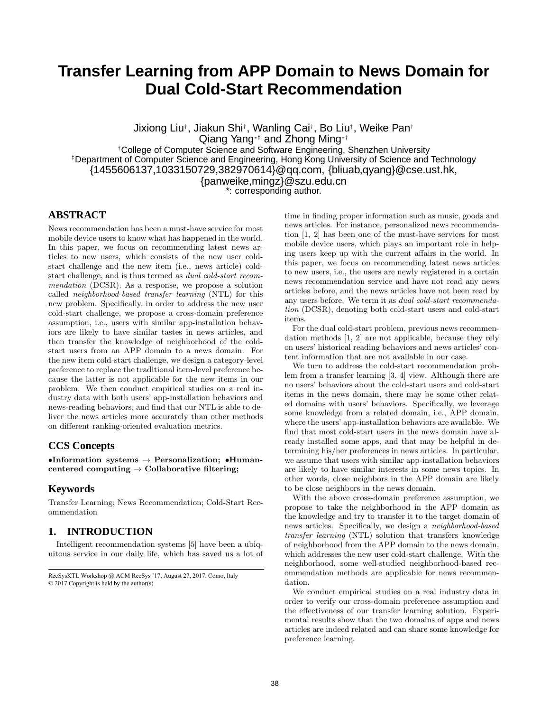# **Transfer Learning from APP Domain to News Domain for Dual Cold-Start Recommendation**

Jixiong Liu† , Jiakun Shi† , Wanling Cai† , Bo Liu‡ , Weike Pan† Qiang Yang∗‡ and Zhong Ming∗† †College of Computer Science and Software Engineering, Shenzhen University ‡Department of Computer Science and Engineering, Hong Kong University of Science and Technology {1455606137,1033150729,382970614}@qq.com, {bliuab,qyang}@cse.ust.hk, {panweike,mingz}@szu.edu.cn \*: corresponding author.

## **ABSTRACT**

News recommendation has been a must-have service for most mobile device users to know what has happened in the world. In this paper, we focus on recommending latest news articles to new users, which consists of the new user coldstart challenge and the new item (i.e., news article) coldstart challenge, and is thus termed as dual cold-start recommendation (DCSR). As a response, we propose a solution called neighborhood-based transfer learning (NTL) for this new problem. Specifically, in order to address the new user cold-start challenge, we propose a cross-domain preference assumption, i.e., users with similar app-installation behaviors are likely to have similar tastes in news articles, and then transfer the knowledge of neighborhood of the coldstart users from an APP domain to a news domain. For the new item cold-start challenge, we design a category-level preference to replace the traditional item-level preference because the latter is not applicable for the new items in our problem. We then conduct empirical studies on a real industry data with both users' app-installation behaviors and news-reading behaviors, and find that our NTL is able to deliver the news articles more accurately than other methods on different ranking-oriented evaluation metrics.

## **CCS Concepts**

•Information systems  $\rightarrow$  Personalization; •Humancentered computing  $\rightarrow$  Collaborative filtering;

#### **Keywords**

Transfer Learning; News Recommendation; Cold-Start Recommendation

## **1. INTRODUCTION**

Intelligent recommendation systems [5] have been a ubiquitous service in our daily life, which has saved us a lot of time in finding proper information such as music, goods and news articles. For instance, personalized news recommendation [1, 2] has been one of the must-have services for most mobile device users, which plays an important role in helping users keep up with the current affairs in the world. In this paper, we focus on recommending latest news articles to new users, i.e., the users are newly registered in a certain news recommendation service and have not read any news articles before, and the news articles have not been read by any users before. We term it as dual cold-start recommendation (DCSR), denoting both cold-start users and cold-start items.

For the dual cold-start problem, previous news recommendation methods [1, 2] are not applicable, because they rely on users' historical reading behaviors and news articles' content information that are not available in our case.

We turn to address the cold-start recommendation problem from a transfer learning [3, 4] view. Although there are no users' behaviors about the cold-start users and cold-start items in the news domain, there may be some other related domains with users' behaviors. Specifically, we leverage some knowledge from a related domain, i.e., APP domain, where the users' app-installation behaviors are available. We find that most cold-start users in the news domain have already installed some apps, and that may be helpful in determining his/her preferences in news articles. In particular, we assume that users with similar app-installation behaviors are likely to have similar interests in some news topics. In other words, close neighbors in the APP domain are likely to be close neighbors in the news domain.

With the above cross-domain preference assumption, we propose to take the neighborhood in the APP domain as the knowledge and try to transfer it to the target domain of news articles. Specifically, we design a neighborhood-based transfer learning (NTL) solution that transfers knowledge of neighborhood from the APP domain to the news domain, which addresses the new user cold-start challenge. With the neighborhood, some well-studied neighborhood-based recommendation methods are applicable for news recommendation.

We conduct empirical studies on a real industry data in order to verify our cross-domain preference assumption and the effectiveness of our transfer learning solution. Experimental results show that the two domains of apps and news articles are indeed related and can share some knowledge for preference learning.

RecSysKTL Workshop @ ACM RecSys '17, August 27, 2017, Como, Italy © 2017 Copyright is held by the author(s)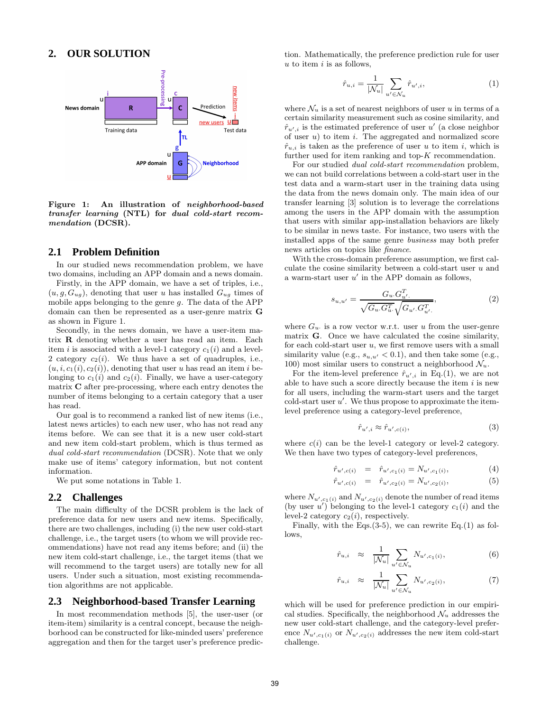#### **2. OUR SOLUTION**



Figure 1: An illustration of neighborhood-based transfer learning (NTL) for dual cold-start recommendation (DCSR).

### **2.1 Problem Definition**

In our studied news recommendation problem, we have two domains, including an APP domain and a news domain.

Firstly, in the APP domain, we have a set of triples, i.e.,  $(u, g, G_{uq})$ , denoting that user u has installed  $G_{uq}$  times of mobile apps belonging to the genre  $g$ . The data of the APP domain can then be represented as a user-genre matrix G as shown in Figure 1.

Secondly, in the news domain, we have a user-item matrix R denoting whether a user has read an item. Each item i is associated with a level-1 category  $c_1(i)$  and a level-2 category  $c_2(i)$ . We thus have a set of quadruples, i.e.,  $(u, i, c_1(i), c_2(i))$ , denoting that user u has read an item i belonging to  $c_1(i)$  and  $c_2(i)$ . Finally, we have a user-category matrix C after pre-processing, where each entry denotes the number of items belonging to a certain category that a user has read.

Our goal is to recommend a ranked list of new items (i.e., latest news articles) to each new user, who has not read any items before. We can see that it is a new user cold-start and new item cold-start problem, which is thus termed as dual cold-start recommendation (DCSR). Note that we only make use of items' category information, but not content information.

We put some notations in Table 1.

#### **2.2 Challenges**

The main difficulty of the DCSR problem is the lack of preference data for new users and new items. Specifically, there are two challenges, including (i) the new user cold-start challenge, i.e., the target users (to whom we will provide recommendations) have not read any items before; and (ii) the new item cold-start challenge, i.e., the target items (that we will recommend to the target users) are totally new for all users. Under such a situation, most existing recommendation algorithms are not applicable.

#### **2.3 Neighborhood-based Transfer Learning**

In most recommendation methods [5], the user-user (or item-item) similarity is a central concept, because the neighborhood can be constructed for like-minded users' preference aggregation and then for the target user's preference prediction. Mathematically, the preference prediction rule for user  $u$  to item  $i$  is as follows,

$$
\hat{r}_{u,i} = \frac{1}{|\mathcal{N}_u|} \sum_{u' \in \mathcal{N}_u} \hat{r}_{u',i},\tag{1}
$$

where  $\mathcal{N}_u$  is a set of nearest neighbors of user u in terms of a certain similarity measurement such as cosine similarity, and  $\hat{r}_{u',i}$  is the estimated preference of user u' (a close neighbor of user  $u$ ) to item  $i$ . The aggregated and normalized score  $\hat{r}_{u,i}$  is taken as the preference of user u to item i, which is further used for item ranking and top- $K$  recommendation.

For our studied dual cold-start recommendation problem, we can not build correlations between a cold-start user in the test data and a warm-start user in the training data using the data from the news domain only. The main idea of our transfer learning [3] solution is to leverage the correlations among the users in the APP domain with the assumption that users with similar app-installation behaviors are likely to be similar in news taste. For instance, two users with the installed apps of the same genre business may both prefer news articles on topics like finance.

With the cross-domain preference assumption, we first calculate the cosine similarity between a cold-start user  $u$  and a warm-start user  $u'$  in the APP domain as follows,

$$
s_{u,u'} = \frac{G_u G_{u'}^T}{\sqrt{G_u G_u^T} \sqrt{G_{u'} G_{u'}^T}},
$$
\n(2)

where  $G_u$  is a row vector w.r.t. user u from the user-genre matrix G. Once we have calculated the cosine similarity, for each cold-start user  $u$ , we first remove users with a small similarity value (e.g.,  $s_{u,u'} < 0.1$ ), and then take some (e.g., 100) most similar users to construct a neighborhood  $\mathcal{N}_u$ .

For the item-level preference  $\hat{r}_{u',i}$  in Eq.(1), we are not able to have such a score directly because the item  $i$  is new for all users, including the warm-start users and the target  $\text{cold-start user } u'$ . We thus propose to approximate the itemlevel preference using a category-level preference,

$$
\hat{r}_{u',i} \approx \hat{r}_{u',c(i)},\tag{3}
$$

where  $c(i)$  can be the level-1 category or level-2 category. We then have two types of category-level preferences,

$$
\hat{r}_{u',c(i)} = \hat{r}_{u',c_1(i)} = N_{u',c_1(i)},\tag{4}
$$

$$
\hat{r}_{u',c(i)} = \hat{r}_{u',c_2(i)} = N_{u',c_2(i)},\tag{5}
$$

where  $N_{u',c_1(i)}$  and  $N_{u',c_2(i)}$  denote the number of read items (by user  $u'$ ) belonging to the level-1 category  $c_1(i)$  and the level-2 category  $c_2(i)$ , respectively.

Finally, with the Eqs. $(3-5)$ , we can rewrite Eq. $(1)$  as follows,

$$
\hat{r}_{u,i} \approx \frac{1}{|\mathcal{N}_u|} \sum_{u' \in \mathcal{N}_u} N_{u',c_1(i)},
$$
\n(6)

$$
\hat{r}_{u,i} \approx \frac{1}{|\mathcal{N}_u|} \sum_{u' \in \mathcal{N}_u} N_{u',c_2(i)},\tag{7}
$$

which will be used for preference prediction in our empirical studies. Specifically, the neighborhood  $\mathcal{N}_u$  addresses the new user cold-start challenge, and the category-level preference  $N_{u',c_1(i)}$  or  $N_{u',c_2(i)}$  addresses the new item cold-start challenge.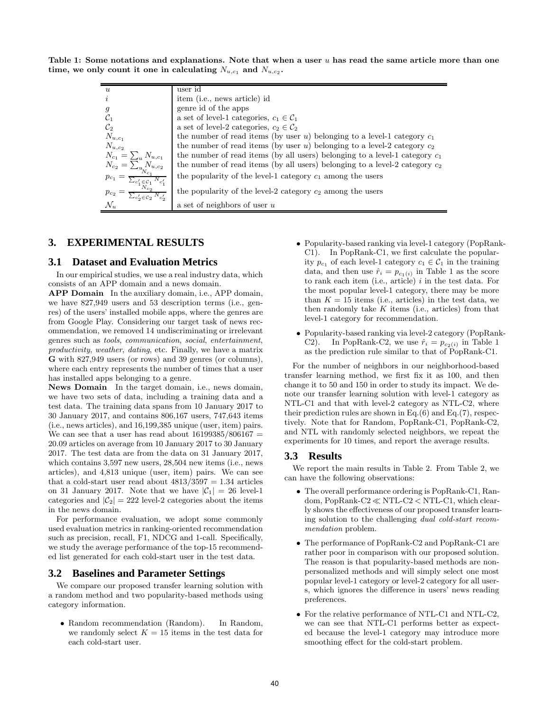Table 1: Some notations and explanations. Note that when a user  $u$  has read the same article more than one time, we only count it one in calculating  $N_{u,c_1}$  and  $N_{u,c_2}$ .

| $\boldsymbol{u}$                                                                                                                                                                            | user id                                                                       |
|---------------------------------------------------------------------------------------------------------------------------------------------------------------------------------------------|-------------------------------------------------------------------------------|
| $\dot{i}$                                                                                                                                                                                   | item (i.e., news article) id                                                  |
| $\mathfrak{g}$                                                                                                                                                                              | genre id of the apps                                                          |
| $\mathcal{C}_1$                                                                                                                                                                             | a set of level-1 categories, $c_1 \in C_1$                                    |
| $\mathcal{C}_2$                                                                                                                                                                             | a set of level-2 categories, $c_2 \in C_2$                                    |
| $N_{u,c_1}$                                                                                                                                                                                 | the number of read items (by user $u$ ) belonging to a level-1 category $c_1$ |
| $N_{u,c_2}$                                                                                                                                                                                 | the number of read items (by user u) belonging to a level-2 category $c_2$    |
| $N_{c_1} = \sum_{u} N_{u,c_1}$                                                                                                                                                              | the number of read items (by all users) belonging to a level-1 category $c_1$ |
|                                                                                                                                                                                             | the number of read items (by all users) belonging to a level-2 category $c_2$ |
| $N_{c_2} = \frac{\sum_{u}^{u} N_{u,c_2}}{N_{c_1}}$<br>$p_{c_1} = \frac{\sum_{c'_1 \in \mathcal{C}_1} N_{c'_1}}{\sum_{c'_2} N_{c'_2}}$<br>$p_{c_2} = \frac{\sum_{u}^{u} N_{u,c_2}}{N_{c_2}}$ | the popularity of the level-1 category $c_1$ among the users                  |
| $p_{c_2} = \frac{1}{\sum_{c'_2 \in \mathcal{C}_2} N_{c'_2}}$                                                                                                                                | the popularity of the level-2 category $c_2$ among the users                  |
| $\mathcal{N}_u$                                                                                                                                                                             | a set of neighbors of user $u$                                                |
|                                                                                                                                                                                             |                                                                               |

## **3. EXPERIMENTAL RESULTS**

#### **3.1 Dataset and Evaluation Metrics**

In our empirical studies, we use a real industry data, which consists of an APP domain and a news domain.

APP Domain In the auxiliary domain, i.e., APP domain, we have 827,949 users and 53 description terms (i.e., genres) of the users' installed mobile apps, where the genres are from Google Play. Considering our target task of news recommendation, we removed 14 undiscriminating or irrelevant genres such as tools, communication, social, entertainment, productivity, weather, dating, etc. Finally, we have a matrix G with 827,949 users (or rows) and 39 genres (or columns), where each entry represents the number of times that a user has installed apps belonging to a genre.

News Domain In the target domain, i.e., news domain, we have two sets of data, including a training data and a test data. The training data spans from 10 January 2017 to 30 January 2017, and contains 806,167 users, 747,643 items (i.e., news articles), and 16,199,385 unique (user, item) pairs. We can see that a user has read about  $16199385/806167$  = 20.09 articles on average from 10 January 2017 to 30 January 2017. The test data are from the data on 31 January 2017, which contains 3,597 new users, 28,504 new items (i.e., news articles), and 4,813 unique (user, item) pairs. We can see that a cold-start user read about  $4813/3597 = 1.34$  articles on 31 January 2017. Note that we have  $|\mathcal{C}_1| = 26$  level-1 categories and  $|\mathcal{C}_2| = 222$  level-2 categories about the items in the news domain.

For performance evaluation, we adopt some commonly used evaluation metrics in ranking-oriented recommendation such as precision, recall, F1, NDCG and 1-call. Specifically, we study the average performance of the top-15 recommended list generated for each cold-start user in the test data.

#### **3.2 Baselines and Parameter Settings**

We compare our proposed transfer learning solution with a random method and two popularity-based methods using category information.

• Random recommendation (Random). In Random, we randomly select  $K = 15$  items in the test data for each cold-start user.

- Popularity-based ranking via level-1 category (PopRank-C1). In PopRank-C1, we first calculate the popularity  $p_{c_1}$  of each level-1 category  $c_1 \in C_1$  in the training data, and then use  $\hat{r}_i = p_{c_1(i)}$  in Table 1 as the score to rank each item (i.e., article)  $i$  in the test data. For the most popular level-1 category, there may be more than  $K = 15$  items (i.e., articles) in the test data, we then randomly take  $K$  items (i.e., articles) from that level-1 category for recommendation.
- Popularity-based ranking via level-2 category (PopRank-C2). In PopRank-C2, we use  $\hat{r}_i = p_{c_2(i)}$  in Table 1 as the prediction rule similar to that of PopRank-C1.

For the number of neighbors in our neighborhood-based transfer learning method, we first fix it as 100, and then change it to 50 and 150 in order to study its impact. We denote our transfer learning solution with level-1 category as NTL-C1 and that with level-2 category as NTL-C2, where their prediction rules are shown in Eq. $(6)$  and Eq. $(7)$ , respectively. Note that for Random, PopRank-C1, PopRank-C2, and NTL with randomly selected neighbors, we repeat the experiments for 10 times, and report the average results.

#### **3.3 Results**

We report the main results in Table 2. From Table 2, we can have the following observations:

- The overall performance ordering is PopRank-C1, Random, PopRank-C2 ≪ NTL-C2 < NTL-C1, which clearly shows the effectiveness of our proposed transfer learning solution to the challenging dual cold-start recommendation problem.
- The performance of PopRank-C2 and PopRank-C1 are rather poor in comparison with our proposed solution. The reason is that popularity-based methods are nonpersonalized methods and will simply select one most popular level-1 category or level-2 category for all users, which ignores the difference in users' news reading preferences.
- For the relative performance of NTL-C1 and NTL-C2, we can see that NTL-C1 performs better as expected because the level-1 category may introduce more smoothing effect for the cold-start problem.